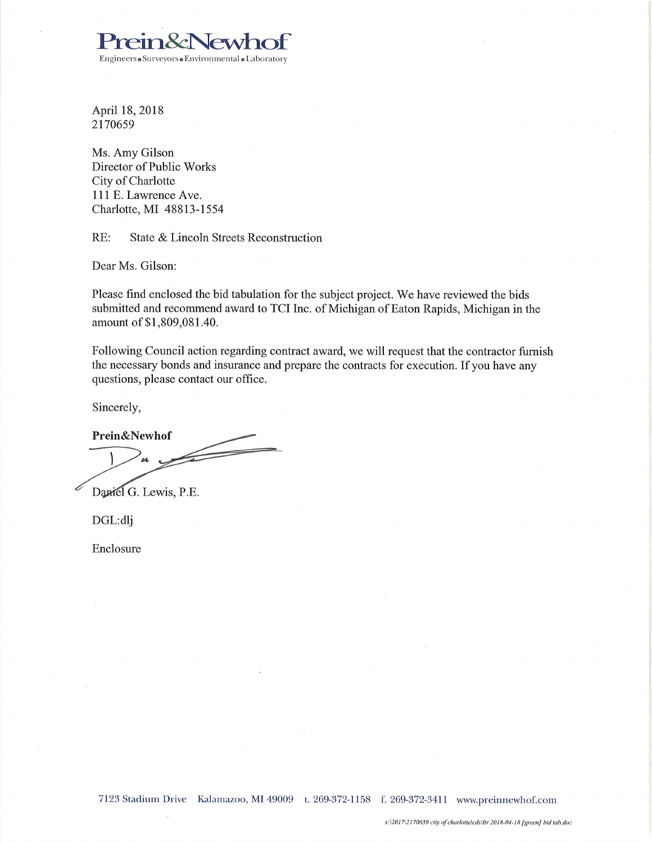

April 18, 2018 2170659

Ms. Amy Gilson Director of Public Works City of Charlotte 111 E. Lawrence Ave. Charlotte, MI 48813-1554

RE: State & Lincoln Streets Reconstruction

Dear Ms. Gilson:

Please find enclosed the bid tabulation for the subject project. We have reviewed the bids submitted and recommend award to TCI Inc. of Michigan of Eaton Rapids, Michigan in the amount of \$1,809,081.40.

Following Council action regarding contract award, we will request that the contractor furnish the necessary bonds and insurance and prepare the contracts for execution. If you have any questions, please contact our office.

Sincerely,

Prein&Newhof 

Daniel G. Lewis, P.E.

DGL:dlj

Enclosure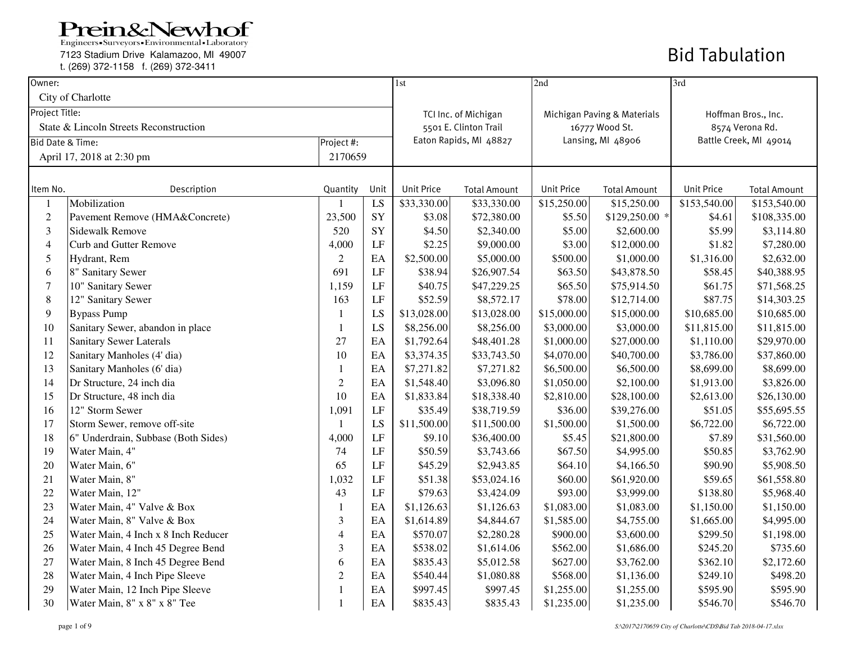Engineers Surveyors Environmental Laboratory

7123 Stadium Drive Kalamazoo, MI 49007

t. (269) 372-1158 f. (269) 372-3411

| Owner:                      |                                        |                |                            | 1st               |                        | 2nd               |                             | 3rd                    |                     |
|-----------------------------|----------------------------------------|----------------|----------------------------|-------------------|------------------------|-------------------|-----------------------------|------------------------|---------------------|
|                             | City of Charlotte                      |                |                            |                   |                        |                   |                             |                        |                     |
| Project Title:              |                                        |                |                            |                   | TCI Inc. of Michigan   |                   | Michigan Paving & Materials |                        | Hoffman Bros., Inc. |
|                             | State & Lincoln Streets Reconstruction |                |                            |                   | 5501 E. Clinton Trail  |                   | 16777 Wood St.              |                        | 8574 Verona Rd.     |
| <b>Bid Date &amp; Time:</b> |                                        | Project #:     |                            |                   | Eaton Rapids, MI 48827 |                   | Lansing, MI 48906           | Battle Creek, MI 49014 |                     |
|                             | April 17, 2018 at 2:30 pm              | 2170659        |                            |                   |                        |                   |                             |                        |                     |
|                             |                                        |                |                            |                   |                        |                   |                             |                        |                     |
| Item No.                    | Description                            | Quantity       | Unit                       | <b>Unit Price</b> | <b>Total Amount</b>    | <b>Unit Price</b> | <b>Total Amount</b>         | <b>Unit Price</b>      | <b>Total Amount</b> |
|                             | Mobilization                           |                | LS                         | \$33,330.00       | \$33,330.00            | \$15,250.00       | \$15,250.00                 | \$153,540.00           | \$153,540.00        |
| $\mathfrak{2}$              | Pavement Remove (HMA&Concrete)         | 23,500         | SY                         | \$3.08            | \$72,380.00            | \$5.50            | $$129,250.00$ *             | \$4.61                 | \$108,335.00        |
| 3                           | <b>Sidewalk Remove</b>                 | 520            | SY                         | \$4.50            | \$2,340.00             | \$5.00            | \$2,600.00                  | \$5.99                 | \$3,114.80          |
| $\overline{4}$              | <b>Curb and Gutter Remove</b>          | 4,000          | LF                         | \$2.25            | \$9,000.00             | \$3.00            | \$12,000.00                 | \$1.82                 | \$7,280.00          |
| 5                           | Hydrant, Rem                           | 2              | EA                         | \$2,500.00        | \$5,000.00             | \$500.00          | \$1,000.00                  | \$1,316.00             | \$2,632.00          |
| 6                           | 8" Sanitary Sewer                      | 691            | LF                         | \$38.94           | \$26,907.54            | \$63.50           | \$43,878.50                 | \$58.45                | \$40,388.95         |
| $\tau$                      | 10" Sanitary Sewer                     | 1,159          | LF                         | \$40.75           | \$47,229.25            | \$65.50           | \$75,914.50                 | \$61.75                | \$71,568.25         |
| $\,8\,$                     | 12" Sanitary Sewer                     | 163            | LF                         | \$52.59           | \$8,572.17             | \$78.00           | \$12,714.00                 | \$87.75                | \$14,303.25         |
| 9                           | <b>Bypass Pump</b>                     | -1             | LS                         | \$13,028.00       | \$13,028.00            | \$15,000.00       | \$15,000.00                 | \$10,685.00            | \$10,685.00         |
| $10\,$                      | Sanitary Sewer, abandon in place       | -1             | LS                         | \$8,256.00        | \$8,256.00             | \$3,000.00        | \$3,000.00                  | \$11,815.00            | \$11,815.00         |
| 11                          | <b>Sanitary Sewer Laterals</b>         | 27             | EA                         | \$1,792.64        | \$48,401.28            | \$1,000.00        | \$27,000.00                 | \$1,110.00             | \$29,970.00         |
| 12                          | Sanitary Manholes (4' dia)             | 10             | EA                         | \$3,374.35        | \$33,743.50            | \$4,070.00        | \$40,700.00                 | \$3,786.00             | \$37,860.00         |
| 13                          | Sanitary Manholes (6' dia)             | $\mathbf{1}$   | EA                         | \$7,271.82        | \$7,271.82             | \$6,500.00        | \$6,500.00                  | \$8,699.00             | \$8,699.00          |
| 14                          | Dr Structure, 24 inch dia              | $\sqrt{2}$     | EA                         | \$1,548.40        | \$3,096.80             | \$1,050.00        | \$2,100.00                  | \$1,913.00             | \$3,826.00          |
| 15                          | Dr Structure, 48 inch dia              | 10             | EA                         | \$1,833.84        | \$18,338.40            | \$2,810.00        | \$28,100.00                 | \$2,613.00             | \$26,130.00         |
| 16                          | 12" Storm Sewer                        | 1,091          | LF                         | \$35.49           | \$38,719.59            | \$36.00           | \$39,276.00                 | \$51.05                | \$55,695.55         |
| 17                          | Storm Sewer, remove off-site           | 1              | LS                         | \$11,500.00       | \$11,500.00            | \$1,500.00        | \$1,500.00                  | \$6,722.00             | \$6,722.00          |
| 18                          | 6" Underdrain, Subbase (Both Sides)    | 4,000          | LF                         | \$9.10            | \$36,400.00            | \$5.45            | \$21,800.00                 | \$7.89                 | \$31,560.00         |
| 19                          | Water Main, 4"                         | 74             | LF                         | \$50.59           | \$3,743.66             | \$67.50           | \$4,995.00                  | \$50.85                | \$3,762.90          |
| 20                          | Water Main, 6"                         | 65             | LF                         | \$45.29           | \$2,943.85             | \$64.10           | \$4,166.50                  | \$90.90                | \$5,908.50          |
| 21                          | Water Main, 8"                         | 1,032          | LF                         | \$51.38           | \$53,024.16            | \$60.00           | \$61,920.00                 | \$59.65                | \$61,558.80         |
| $22\,$                      | Water Main, 12"                        | 43             | LF                         | \$79.63           | \$3,424.09             | \$93.00           | \$3,999.00                  | \$138.80               | \$5,968.40          |
| 23                          | Water Main, 4" Valve & Box             | $\mathbf{1}$   | EA                         | \$1,126.63        | \$1,126.63             | \$1,083.00        | \$1,083.00                  | \$1,150.00             | \$1,150.00          |
| 24                          | Water Main, 8" Valve & Box             | 3              | EA                         | \$1,614.89        | \$4,844.67             | \$1,585.00        | \$4,755.00                  | \$1,665.00             | \$4,995.00          |
| 25                          | Water Main, 4 Inch x 8 Inch Reducer    | $\overline{4}$ | $\rm EA$                   | \$570.07          | \$2,280.28             | \$900.00          | \$3,600.00                  | \$299.50               | \$1,198.00          |
| 26                          | Water Main, 4 Inch 45 Degree Bend      | $\overline{3}$ | EA                         | \$538.02          | \$1,614.06             | \$562.00          | \$1,686.00                  | \$245.20               | \$735.60            |
| 27                          | Water Main, 8 Inch 45 Degree Bend      | 6              | $\boldsymbol{\mathrm{EA}}$ | \$835.43          | \$5,012.58             | \$627.00          | \$3,762.00                  | \$362.10               | \$2,172.60          |
| $28\,$                      | Water Main, 4 Inch Pipe Sleeve         | $\overline{2}$ | EA                         | \$540.44          | \$1,080.88             | \$568.00          | \$1,136.00                  | \$249.10               | \$498.20            |
| 29                          | Water Main, 12 Inch Pipe Sleeve        | $\mathbf{1}$   | $\boldsymbol{\mathrm{EA}}$ | \$997.45          | \$997.45               | \$1,255.00        | \$1,255.00                  | \$595.90               | \$595.90            |
| 30                          | Water Main, 8" x 8" x 8" Tee           |                | EA                         | \$835.43          | \$835.43               | \$1,235.00        | \$1,235.00                  | \$546.70               | \$546.70            |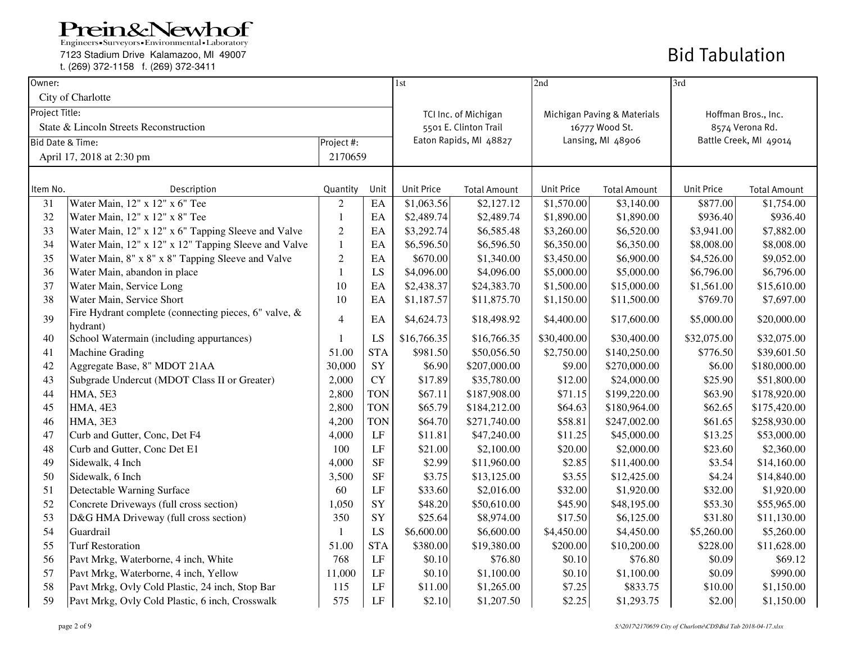Engineers Surveyors Environmental Laboratory

7123 Stadium Drive Kalamazoo, MI 49007

t. (269) 372-1158 f. (269) 372-3411

| Owner:                      |                                                                   |                  |            | 1st                    |                       | 2nd               |                             | 3rd                    |                     |
|-----------------------------|-------------------------------------------------------------------|------------------|------------|------------------------|-----------------------|-------------------|-----------------------------|------------------------|---------------------|
|                             | City of Charlotte                                                 |                  |            |                        |                       |                   |                             |                        |                     |
| Project Title:              |                                                                   |                  |            |                        | TCI Inc. of Michigan  |                   | Michigan Paving & Materials |                        | Hoffman Bros., Inc. |
|                             | State & Lincoln Streets Reconstruction                            |                  |            |                        | 5501 E. Clinton Trail | 16777 Wood St.    |                             | 8574 Verona Rd.        |                     |
| <b>Bid Date &amp; Time:</b> |                                                                   | Project #:       |            | Eaton Rapids, MI 48827 |                       | Lansing, MI 48906 |                             | Battle Creek, MI 49014 |                     |
|                             | April 17, 2018 at 2:30 pm                                         |                  | 2170659    |                        |                       |                   |                             |                        |                     |
|                             |                                                                   |                  |            |                        |                       |                   |                             |                        |                     |
| Item No.                    | Description                                                       | Quantity         | Unit       | Unit Price             | <b>Total Amount</b>   | <b>Unit Price</b> | <b>Total Amount</b>         | <b>Unit Price</b>      | <b>Total Amount</b> |
| 31                          | Water Main, 12" x 12" x 6" Tee                                    | $\overline{c}$   | EA         | \$1,063.56             | \$2,127.12            | \$1,570.00        | \$3,140.00                  | \$877.00               | \$1,754.00          |
| 32                          | Water Main, 12" x 12" x 8" Tee                                    | $\mathbf{1}$     | EA         | \$2,489.74             | \$2,489.74            | \$1,890.00        | \$1,890.00                  | \$936.40               | \$936.40            |
| 33                          | Water Main, 12" x 12" x 6" Tapping Sleeve and Valve               | $\boldsymbol{2}$ | EA         | \$3,292.74             | \$6,585.48            | \$3,260.00        | \$6,520.00                  | \$3,941.00             | \$7,882.00          |
| 34                          | Water Main, 12" x 12" x 12" Tapping Sleeve and Valve              | $\mathbf{1}$     | EA         | \$6,596.50             | \$6,596.50            | \$6,350.00        | \$6,350.00                  | \$8,008.00             | \$8,008.00          |
| 35                          | Water Main, 8" x 8" x 8" Tapping Sleeve and Valve                 | $\overline{c}$   | EA         | \$670.00               | \$1,340.00            | \$3,450.00        | \$6,900.00                  | \$4,526.00             | \$9,052.00          |
| 36                          | Water Main, abandon in place                                      | $\mathbf{1}$     | LS         | \$4,096.00             | \$4,096.00            | \$5,000.00        | \$5,000.00                  | \$6,796.00             | \$6,796.00          |
| 37                          | Water Main, Service Long                                          | 10               | EA         | \$2,438.37             | \$24,383.70           | \$1,500.00        | \$15,000.00                 | \$1,561.00             | \$15,610.00         |
| 38                          | Water Main, Service Short                                         | 10               | EA         | \$1,187.57             | \$11,875.70           | \$1,150.00        | \$11,500.00                 | \$769.70               | \$7,697.00          |
| 39                          | Fire Hydrant complete (connecting pieces, 6" valve, &<br>hydrant) | $\overline{4}$   | EA         | \$4,624.73             | \$18,498.92           | \$4,400.00        | \$17,600.00                 | \$5,000.00             | \$20,000.00         |
| 40                          | School Watermain (including appurtances)                          | $\mathbf{1}$     | LS         | \$16,766.35            | \$16,766.35           | \$30,400.00       | \$30,400.00                 | \$32,075.00            | \$32,075.00         |
| 41                          | Machine Grading                                                   | 51.00            | <b>STA</b> | \$981.50               | \$50,056.50           | \$2,750.00        | \$140,250.00                | \$776.50               | \$39,601.50         |
| 42                          | Aggregate Base, 8" MDOT 21AA                                      | 30,000           | SY         | \$6.90                 | \$207,000.00          | \$9.00            | \$270,000.00                | \$6.00                 | \$180,000.00        |
| 43                          | Subgrade Undercut (MDOT Class II or Greater)                      | 2,000            | <b>CY</b>  | \$17.89                | \$35,780.00           | \$12.00           | \$24,000.00                 | \$25.90                | \$51,800.00         |
| 44                          | HMA, 5E3                                                          | 2,800            | <b>TON</b> | \$67.11                | \$187,908.00          | \$71.15           | \$199,220.00                | \$63.90                | \$178,920.00        |
| 45                          | HMA, 4E3                                                          | 2,800            | <b>TON</b> | \$65.79                | \$184,212.00          | \$64.63           | \$180,964.00                | \$62.65                | \$175,420.00        |
| 46                          | <b>HMA, 3E3</b>                                                   | 4,200            | <b>TON</b> | \$64.70                | \$271,740.00          | \$58.81           | \$247,002.00                | \$61.65                | \$258,930.00        |
| 47                          | Curb and Gutter, Conc, Det F4                                     | 4,000            | LF         | \$11.81                | \$47,240.00           | \$11.25           | \$45,000.00                 | \$13.25                | \$53,000.00         |
| 48                          | Curb and Gutter, Conc Det E1                                      | 100              | LF         | \$21.00                | \$2,100.00            | \$20.00           | \$2,000.00                  | \$23.60                | \$2,360.00          |
| 49                          | Sidewalk, 4 Inch                                                  | 4,000            | $\rm{SF}$  | \$2.99                 | \$11,960.00           | \$2.85            | \$11,400.00                 | \$3.54                 | \$14,160.00         |
| 50                          | Sidewalk, 6 Inch                                                  | 3,500            | $\rm{SF}$  | \$3.75                 | \$13,125.00           | \$3.55            | \$12,425.00                 | \$4.24                 | \$14,840.00         |
| 51                          | Detectable Warning Surface                                        | 60               | LF         | \$33.60                | \$2,016.00            | \$32.00           | \$1,920.00                  | \$32.00                | \$1,920.00          |
| 52                          | Concrete Driveways (full cross section)                           | 1,050            | SY         | \$48.20                | \$50,610.00           | \$45.90           | \$48,195.00                 | \$53.30                | \$55,965.00         |
| 53                          | D&G HMA Driveway (full cross section)                             | 350              | SY         | \$25.64                | \$8,974.00            | \$17.50           | \$6,125.00                  | \$31.80                | \$11,130.00         |
| 54                          | Guardrail                                                         | $\mathbf{1}$     | LS         | \$6,600.00             | \$6,600.00            | \$4,450.00        | \$4,450.00                  | \$5,260.00             | \$5,260.00          |
| 55                          | <b>Turf Restoration</b>                                           | 51.00            | <b>STA</b> | \$380.00               | \$19,380.00           | \$200.00          | \$10,200.00                 | \$228.00               | \$11,628.00         |
| 56                          | Pavt Mrkg, Waterborne, 4 inch, White                              | 768              | LF         | \$0.10                 | \$76.80               | \$0.10            | \$76.80                     | \$0.09                 | \$69.12             |
| 57                          | Pavt Mrkg, Waterborne, 4 inch, Yellow                             | 11,000           | $\rm LF$   | \$0.10                 | \$1,100.00            | \$0.10            | \$1,100.00                  | \$0.09                 | \$990.00            |
| 58                          | Pavt Mrkg, Ovly Cold Plastic, 24 inch, Stop Bar                   | 115              | LF         | \$11.00                | \$1,265.00            | \$7.25            | \$833.75                    | \$10.00                | \$1,150.00          |
| 59                          | Pavt Mrkg, Ovly Cold Plastic, 6 inch, Crosswalk                   | 575              | $\rm LF$   | \$2.10                 | \$1,207.50            | \$2.25            | \$1,293.75                  | \$2.00                 | \$1,150.00          |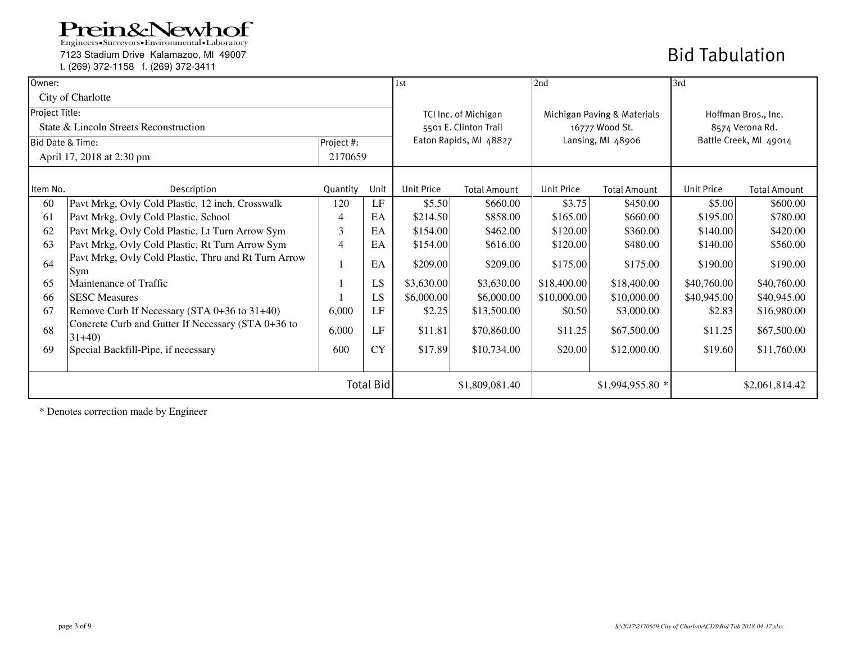7123 Stadium Drive Kalamazoo, MI 49007

t. (269) 372-1158 f. (269) 372-3411

## Bid Tabulation

| Owner:                      |                                                               |                |           | 1 <sub>st</sub>   |                        | 2nd               |                             | 3rd                    |                     |
|-----------------------------|---------------------------------------------------------------|----------------|-----------|-------------------|------------------------|-------------------|-----------------------------|------------------------|---------------------|
|                             | City of Charlotte                                             |                |           |                   |                        |                   |                             |                        |                     |
| Project Title:              |                                                               |                |           |                   | TCI Inc. of Michigan   |                   | Michigan Paving & Materials | Hoffman Bros., Inc.    |                     |
|                             | State & Lincoln Streets Reconstruction                        |                |           |                   | 5501 E. Clinton Trail  |                   | 16777 Wood St.              |                        | 8574 Verona Rd.     |
| <b>Bid Date &amp; Time:</b> |                                                               | Project #:     |           |                   | Eaton Rapids, MI 48827 |                   | Lansing, MI 48906           | Battle Creek, MI 49014 |                     |
|                             | April 17, 2018 at 2:30 pm                                     | 2170659        |           |                   |                        |                   |                             |                        |                     |
|                             |                                                               |                |           |                   |                        |                   |                             |                        |                     |
| Item No.                    | Description                                                   | Quantity       | Unit      | <b>Unit Price</b> | <b>Total Amount</b>    | <b>Unit Price</b> | <b>Total Amount</b>         | <b>Unit Price</b>      | <b>Total Amount</b> |
| 60                          | Pavt Mrkg, Ovly Cold Plastic, 12 inch, Crosswalk              | 120            | LF        | \$5.50            | \$660.00               | \$3.75            | \$450.00                    | \$5.00                 | \$600.00            |
| 61                          | Pavt Mrkg, Ovly Cold Plastic, School                          | $\overline{4}$ | EA        | \$214.50          | \$858.00               | \$165.00          | \$660.00                    | \$195.00               | \$780.00            |
| 62                          | Pavt Mrkg, Ovly Cold Plastic, Lt Turn Arrow Sym               | 3              | EA        | \$154.00          | \$462.00               | \$120.00          | \$360.00                    | \$140.00               | \$420.00            |
| 63                          | Pavt Mrkg, Ovly Cold Plastic, Rt Turn Arrow Sym               | $\overline{4}$ | EA        | \$154.00          | \$616.00               | \$120.00          | \$480.00                    | \$140.00               | \$560.00            |
| 64                          | Pavt Mrkg, Ovly Cold Plastic, Thru and Rt Turn Arrow<br>Sym   |                | EA        | \$209.00          | \$209.00               | \$175.00          | \$175.00                    | \$190.00               | \$190.00            |
| 65                          | Maintenance of Traffic                                        |                | LS        | \$3,630.00        | \$3,630.00             | \$18,400.00       | \$18,400.00                 | \$40,760.00            | \$40,760.00         |
| 66                          | <b>SESC</b> Measures                                          |                | LS        | \$6,000.00        | \$6,000.00             | \$10,000.00       | \$10,000.00                 | \$40,945.00            | \$40,945.00         |
| 67                          | Remove Curb If Necessary (STA 0+36 to 31+40)                  | 6,000          | LF        | \$2.25            | \$13,500.00            | \$0.50            | \$3,000.00                  | \$2.83                 | \$16,980.00         |
| 68                          | Concrete Curb and Gutter If Necessary (STA 0+36 to<br>$31+40$ | 6,000          | LF        | \$11.81           | \$70,860.00            | \$11.25           | \$67,500.00                 | \$11.25                | \$67,500.00         |
| 69                          | Special Backfill-Pipe, if necessary                           | 600            | <b>CY</b> | \$17.89           | \$10,734.00            | \$20.00           | \$12,000.00                 | \$19.60                | \$11,760.00         |
| <b>Total Bid</b>            |                                                               |                |           | \$1,809,081.40    |                        | $$1,994,955.80$ * |                             | \$2,061,814.42         |                     |

\* Denotes correction made by Engineer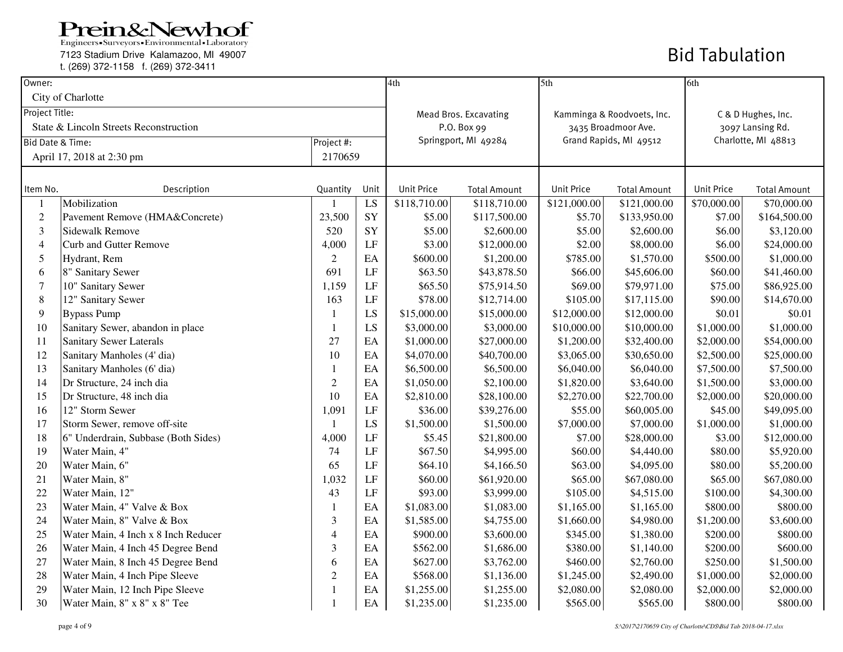Engineers - Surveyors - Environmental - Laboratory

7123 Stadium Drive Kalamazoo, MI 49007

t. (269) 372-1158 f. (269) 372-3411

| Owner:                      |                                        |                |      | 4th                          |                      | 5th                        |                     | 6th                 |                     |
|-----------------------------|----------------------------------------|----------------|------|------------------------------|----------------------|----------------------------|---------------------|---------------------|---------------------|
|                             | City of Charlotte                      |                |      |                              |                      |                            |                     |                     |                     |
| Project Title:              |                                        |                |      | <b>Mead Bros. Excavating</b> |                      | Kamminga & Roodvoets, Inc. |                     | C & D Hughes, Inc.  |                     |
|                             | State & Lincoln Streets Reconstruction |                |      |                              | P.O. Box 99          |                            | 3435 Broadmoor Ave. | 3097 Lansing Rd.    |                     |
| <b>Bid Date &amp; Time:</b> |                                        | Project #:     |      |                              | Springport, MI 49284 | Grand Rapids, MI 49512     |                     | Charlotte, MI 48813 |                     |
|                             | April 17, 2018 at 2:30 pm              | 2170659        |      |                              |                      |                            |                     |                     |                     |
|                             |                                        |                |      |                              |                      |                            |                     |                     |                     |
| Item No.                    | Description                            | Quantity       | Unit | <b>Unit Price</b>            | <b>Total Amount</b>  | <b>Unit Price</b>          | <b>Total Amount</b> | <b>Unit Price</b>   | <b>Total Amount</b> |
|                             | Mobilization                           |                | LS   | \$118,710.00                 | \$118,710.00         | \$121,000.00               | \$121,000.00        | \$70,000.00         | \$70,000.00         |
| $\boldsymbol{2}$            | Pavement Remove (HMA&Concrete)         | 23,500         | SY   | \$5.00                       | \$117,500.00         | \$5.70                     | \$133,950.00        | \$7.00              | \$164,500.00        |
| 3                           | <b>Sidewalk Remove</b>                 | 520            | SY   | \$5.00                       | \$2,600.00           | \$5.00                     | \$2,600.00          | \$6.00              | \$3,120.00          |
| $\overline{4}$              | Curb and Gutter Remove                 | 4,000          | LF   | \$3.00                       | \$12,000.00          | \$2.00                     | \$8,000.00          | \$6.00              | \$24,000.00         |
| 5                           | Hydrant, Rem                           | 2              | EA   | \$600.00                     | \$1,200.00           | \$785.00                   | \$1,570.00          | \$500.00            | \$1,000.00          |
| 6                           | 8" Sanitary Sewer                      | 691            | LF   | \$63.50                      | \$43,878.50          | \$66.00                    | \$45,606.00         | \$60.00             | \$41,460.00         |
| 7                           | 10" Sanitary Sewer                     | 1,159          | LF   | \$65.50                      | \$75,914.50          | \$69.00                    | \$79,971.00         | \$75.00             | \$86,925.00         |
| 8                           | 12" Sanitary Sewer                     | 163            | LF   | \$78.00                      | \$12,714.00          | \$105.00                   | \$17,115.00         | \$90.00             | \$14,670.00         |
| 9                           | <b>Bypass Pump</b>                     | $\mathbf{1}$   | LS   | \$15,000.00                  | \$15,000.00          | \$12,000.00                | \$12,000.00         | \$0.01              | \$0.01              |
| 10                          | Sanitary Sewer, abandon in place       | $\mathbf{1}$   | LS   | \$3,000.00                   | \$3,000.00           | \$10,000.00                | \$10,000.00         | \$1,000.00          | \$1,000.00          |
| 11                          | <b>Sanitary Sewer Laterals</b>         | 27             | EA   | \$1,000.00                   | \$27,000.00          | \$1,200.00                 | \$32,400.00         | \$2,000.00          | \$54,000.00         |
| 12                          | Sanitary Manholes (4' dia)             | 10             | EA   | \$4,070.00                   | \$40,700.00          | \$3,065.00                 | \$30,650.00         | \$2,500.00          | \$25,000.00         |
| 13                          | Sanitary Manholes (6' dia)             | $\mathbf{1}$   | EA   | \$6,500.00                   | \$6,500.00           | \$6,040.00                 | \$6,040.00          | \$7,500.00          | \$7,500.00          |
| 14                          | Dr Structure, 24 inch dia              | $\sqrt{2}$     | EA   | \$1,050.00                   | \$2,100.00           | \$1,820.00                 | \$3,640.00          | \$1,500.00          | \$3,000.00          |
| 15                          | Dr Structure, 48 inch dia              | 10             | EA   | \$2,810.00                   | \$28,100.00          | \$2,270.00                 | \$22,700.00         | \$2,000.00          | \$20,000.00         |
| 16                          | 12" Storm Sewer                        | 1,091          | LF   | \$36.00                      | \$39,276.00          | \$55.00                    | \$60,005.00         | \$45.00             | \$49,095.00         |
| 17                          | Storm Sewer, remove off-site           | 1              | LS   | \$1,500.00                   | \$1,500.00           | \$7,000.00                 | \$7,000.00          | \$1,000.00          | \$1,000.00          |
| 18                          | 6" Underdrain, Subbase (Both Sides)    | 4,000          | LF   | \$5.45                       | \$21,800.00          | \$7.00                     | \$28,000.00         | \$3.00              | \$12,000.00         |
| 19                          | Water Main, 4"                         | 74             | LF   | \$67.50                      | \$4,995.00           | \$60.00                    | \$4,440.00          | \$80.00             | \$5,920.00          |
| 20                          | Water Main, 6"                         | 65             | LF   | \$64.10                      | \$4,166.50           | \$63.00                    | \$4,095.00          | \$80.00             | \$5,200.00          |
| 21                          | Water Main, 8"                         | 1,032          | LF   | \$60.00                      | \$61,920.00          | \$65.00                    | \$67,080.00         | \$65.00             | \$67,080.00         |
| 22                          | Water Main, 12"                        | 43             | LF   | \$93.00                      | \$3,999.00           | \$105.00                   | \$4,515.00          | \$100.00            | \$4,300.00          |
| 23                          | Water Main, 4" Valve & Box             | 1              | EA   | \$1,083.00                   | \$1,083.00           | \$1,165.00                 | \$1,165.00          | \$800.00            | \$800.00            |
| 24                          | Water Main, 8" Valve & Box             | 3              | EA   | \$1,585.00                   | \$4,755.00           | \$1,660.00                 | \$4,980.00          | \$1,200.00          | \$3,600.00          |
| 25                          | Water Main, 4 Inch x 8 Inch Reducer    | $\overline{4}$ | EA   | \$900.00                     | \$3,600.00           | \$345.00                   | \$1,380.00          | \$200.00            | \$800.00            |
| 26                          | Water Main, 4 Inch 45 Degree Bend      | 3              | EA   | \$562.00                     | \$1,686.00           | \$380.00                   | \$1,140.00          | \$200.00            | \$600.00            |
| 27                          | Water Main, 8 Inch 45 Degree Bend      | 6              | EA   | \$627.00                     | \$3,762.00           | \$460.00                   | \$2,760.00          | \$250.00            | \$1,500.00          |
| 28                          | Water Main, 4 Inch Pipe Sleeve         | $\overline{2}$ | EA   | \$568.00                     | \$1,136.00           | \$1,245.00                 | \$2,490.00          | \$1,000.00          | \$2,000.00          |
| 29                          | Water Main, 12 Inch Pipe Sleeve        | $\mathbf{1}$   | EA   | \$1,255.00                   | \$1,255.00           | \$2,080.00                 | \$2,080.00          | \$2,000.00          | \$2,000.00          |
| 30                          | Water Main, 8" x 8" x 8" Tee           | $\mathbf{1}$   | EA   | \$1,235.00                   | \$1,235.00           | \$565.00                   | \$565.00            | \$800.00            | \$800.00            |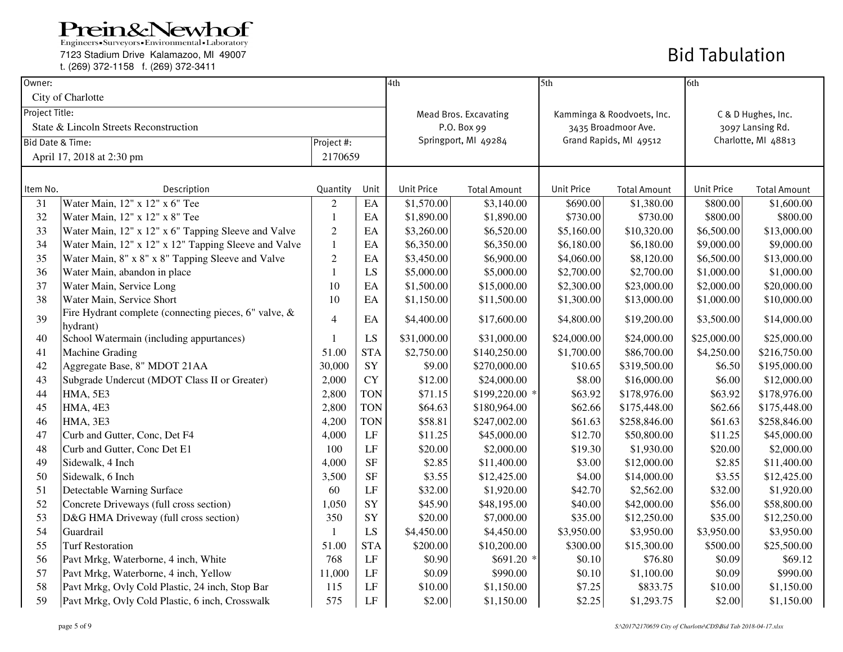Engineers - Surveyors - Environmental - Laboratory

7123 Stadium Drive Kalamazoo, MI 49007

t. (269) 372-1158 f. (269) 372-3411

| Owner:         |                                                                   |                          |            | 4th               |                                                | 5th                        |                     | 6th                 |                     |
|----------------|-------------------------------------------------------------------|--------------------------|------------|-------------------|------------------------------------------------|----------------------------|---------------------|---------------------|---------------------|
|                | City of Charlotte                                                 |                          |            |                   |                                                |                            |                     |                     |                     |
| Project Title: |                                                                   |                          |            |                   | <b>Mead Bros. Excavating</b>                   | Kamminga & Roodvoets, Inc. |                     | C & D Hughes, Inc.  |                     |
|                | State & Lincoln Streets Reconstruction                            |                          |            |                   | P.O. Box 99                                    |                            | 3435 Broadmoor Ave. | 3097 Lansing Rd.    |                     |
|                | <b>Bid Date &amp; Time:</b>                                       | Project #:               |            |                   | Grand Rapids, MI 49512<br>Springport, MI 49284 |                            |                     | Charlotte, MI 48813 |                     |
|                | April 17, 2018 at 2:30 pm                                         | 2170659                  |            |                   |                                                |                            |                     |                     |                     |
|                |                                                                   |                          |            |                   |                                                |                            |                     |                     |                     |
| Item No.       | Description                                                       | Quantity                 | Unit       | <b>Unit Price</b> | <b>Total Amount</b>                            | <b>Unit Price</b>          | <b>Total Amount</b> | <b>Unit Price</b>   | <b>Total Amount</b> |
| 31             | Water Main, 12" x 12" x 6" Tee                                    | $\overline{2}$           | $\rm EA$   | \$1,570.00        | \$3,140.00                                     | \$690.00                   | \$1,380.00          | \$800.00            | \$1,600.00          |
| 32             | Water Main, 12" x 12" x 8" Tee                                    | $\mathbf{1}$             | EA         | \$1,890.00        | \$1,890.00                                     | \$730.00                   | \$730.00            | \$800.00            | \$800.00            |
| 33             | Water Main, 12" x 12" x 6" Tapping Sleeve and Valve               | $\sqrt{2}$               | EA         | \$3,260.00        | \$6,520.00                                     | \$5,160.00                 | \$10,320.00         | \$6,500.00          | \$13,000.00         |
| 34             | Water Main, 12" x 12" x 12" Tapping Sleeve and Valve              | $\mathbf{1}$             | EA         | \$6,350.00        | \$6,350.00                                     | \$6,180.00                 | \$6,180.00          | \$9,000.00          | \$9,000.00          |
| 35             | Water Main, 8" x 8" x 8" Tapping Sleeve and Valve                 | $\sqrt{2}$               | EA         | \$3,450.00        | \$6,900.00                                     | \$4,060.00                 | \$8,120.00          | \$6,500.00          | \$13,000.00         |
| 36             | Water Main, abandon in place                                      | 1                        | LS         | \$5,000.00        | \$5,000.00                                     | \$2,700.00                 | \$2,700.00          | \$1,000.00          | \$1,000.00          |
| 37             | Water Main, Service Long                                          | 10                       | EA         | \$1,500.00        | \$15,000.00                                    | \$2,300.00                 | \$23,000.00         | \$2,000.00          | \$20,000.00         |
| 38             | Water Main, Service Short                                         | 10                       | EA         | \$1,150.00        | \$11,500.00                                    | \$1,300.00                 | \$13,000.00         | \$1,000.00          | \$10,000.00         |
| 39             | Fire Hydrant complete (connecting pieces, 6" valve, &<br>hydrant) | $\overline{\mathcal{A}}$ | EA         | \$4,400.00        | \$17,600.00                                    | \$4,800.00                 | \$19,200.00         | \$3,500.00          | \$14,000.00         |
| 40             | School Watermain (including appurtances)                          | 1                        | LS         | \$31,000.00       | \$31,000.00                                    | \$24,000.00                | \$24,000.00         | \$25,000.00         | \$25,000.00         |
| 41             | <b>Machine Grading</b>                                            | 51.00                    | <b>STA</b> | \$2,750.00        | \$140,250.00                                   | \$1,700.00                 | \$86,700.00         | \$4,250.00          | \$216,750.00        |
| 42             | Aggregate Base, 8" MDOT 21AA                                      | 30,000                   | ${\rm SY}$ | \$9.00            | \$270,000.00                                   | \$10.65                    | \$319,500.00        | \$6.50              | \$195,000.00        |
| 43             | Subgrade Undercut (MDOT Class II or Greater)                      | 2,000                    | <b>CY</b>  | \$12.00           | \$24,000.00                                    | \$8.00                     | \$16,000.00         | \$6.00              | \$12,000.00         |
| 44             | <b>HMA, 5E3</b>                                                   | 2,800                    | <b>TON</b> | \$71.15           | \$199,220.00 *                                 | \$63.92                    | \$178,976.00        | \$63.92             | \$178,976.00        |
| 45             | HMA, 4E3                                                          | 2,800                    | <b>TON</b> | \$64.63           | \$180,964.00                                   | \$62.66                    | \$175,448.00        | \$62.66             | \$175,448.00        |
| 46             | <b>HMA, 3E3</b>                                                   | 4,200                    | <b>TON</b> | \$58.81           | \$247,002.00                                   | \$61.63                    | \$258,846.00        | \$61.63             | \$258,846.00        |
| 47             | Curb and Gutter, Conc, Det F4                                     | 4,000                    | LF         | \$11.25           | \$45,000.00                                    | \$12.70                    | \$50,800.00         | \$11.25             | \$45,000.00         |
| 48             | Curb and Gutter, Conc Det E1                                      | 100                      | LF         | \$20.00           | \$2,000.00                                     | \$19.30                    | \$1,930.00          | \$20.00             | \$2,000.00          |
| 49             | Sidewalk, 4 Inch                                                  | 4,000                    | <b>SF</b>  | \$2.85            | \$11,400.00                                    | \$3.00                     | \$12,000.00         | \$2.85              | \$11,400.00         |
| 50             | Sidewalk, 6 Inch                                                  | 3,500                    | <b>SF</b>  | \$3.55            | \$12,425.00                                    | \$4.00                     | \$14,000.00         | \$3.55              | \$12,425.00         |
| 51             | Detectable Warning Surface                                        | 60                       | LF         | \$32.00           | \$1,920.00                                     | \$42.70                    | \$2,562.00          | \$32.00             | \$1,920.00          |
| 52             | Concrete Driveways (full cross section)                           | 1,050                    | SY         | \$45.90           | \$48,195.00                                    | \$40.00                    | \$42,000.00         | \$56.00             | \$58,800.00         |
| 53             | D&G HMA Driveway (full cross section)                             | 350                      | SY         | \$20.00           | \$7,000.00                                     | \$35.00                    | \$12,250.00         | \$35.00             | \$12,250.00         |
| 54             | Guardrail                                                         | 1                        | LS         | \$4,450.00        | \$4,450.00                                     | \$3,950.00                 | \$3,950.00          | \$3,950.00          | \$3,950.00          |
| 55             | <b>Turf Restoration</b>                                           | 51.00                    | <b>STA</b> | \$200.00          | \$10,200.00                                    | \$300.00                   | \$15,300.00         | \$500.00            | \$25,500.00         |
| 56             | Pavt Mrkg, Waterborne, 4 inch, White                              | 768                      | LF         | \$0.90            | \$691.20 *                                     | \$0.10                     | \$76.80             | \$0.09              | \$69.12             |
| 57             | Pavt Mrkg, Waterborne, 4 inch, Yellow                             | 11,000                   | LF         | \$0.09            | \$990.00                                       | \$0.10                     | \$1,100.00          | \$0.09              | \$990.00            |
| 58             | Pavt Mrkg, Ovly Cold Plastic, 24 inch, Stop Bar                   | 115                      | LF         | \$10.00           | \$1,150.00                                     | \$7.25                     | \$833.75            | \$10.00             | \$1,150.00          |
| 59             | Pavt Mrkg, Ovly Cold Plastic, 6 inch, Crosswalk                   | 575                      | LF         | \$2.00            | \$1,150.00                                     | \$2.25                     | \$1,293.75          | \$2.00              | \$1,150.00          |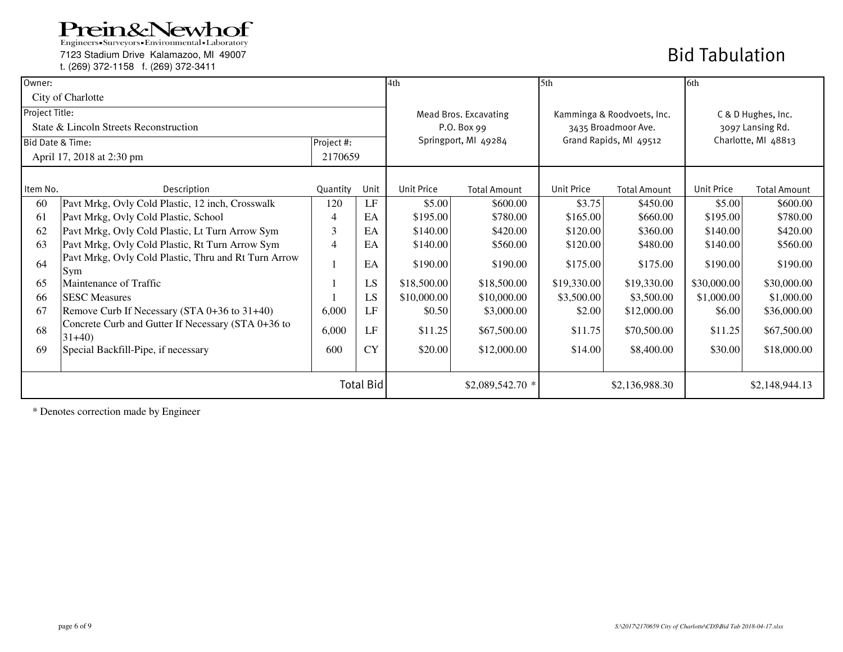7123 Stadium Drive Kalamazoo, MI 49007

t. (269) 372-1158 f. (269) 372-3411

### Bid Tabulation

| Owner:           |                                                               |            |           | 4th                   |                      | 5 <sup>th</sup>            |                        | 6th                |                     |
|------------------|---------------------------------------------------------------|------------|-----------|-----------------------|----------------------|----------------------------|------------------------|--------------------|---------------------|
|                  | City of Charlotte                                             |            |           |                       |                      |                            |                        |                    |                     |
| Project Title:   |                                                               |            |           | Mead Bros. Excavating |                      | Kamminga & Roodvoets, Inc. |                        | C & D Hughes, Inc. |                     |
|                  | State & Lincoln Streets Reconstruction                        |            |           |                       | P.O. Box 99          |                            | 3435 Broadmoor Ave.    | 3097 Lansing Rd.   |                     |
| Bid Date & Time: |                                                               | Project #: |           |                       | Springport, MI 49284 |                            | Grand Rapids, MI 49512 |                    | Charlotte, MI 48813 |
|                  | April 17, 2018 at 2:30 pm                                     | 2170659    |           |                       |                      |                            |                        |                    |                     |
|                  |                                                               |            |           |                       |                      |                            |                        |                    |                     |
| Item No.         | Description                                                   | Quantity   | Unit      | <b>Unit Price</b>     | <b>Total Amount</b>  | <b>Unit Price</b>          | <b>Total Amount</b>    | <b>Unit Price</b>  | <b>Total Amount</b> |
| 60               | Pavt Mrkg, Ovly Cold Plastic, 12 inch, Crosswalk              | 120        | LF        | \$5.00                | \$600.00             | \$3.75                     | \$450.00               | \$5.00             | \$600.00            |
| 61               | Pavt Mrkg, Ovly Cold Plastic, School                          | 4          | EA        | \$195.00              | \$780.00             | \$165.00                   | \$660.00               | \$195.00           | \$780.00            |
| 62               | Pavt Mrkg, Ovly Cold Plastic, Lt Turn Arrow Sym               | 3          | EA        | \$140.00              | \$420.00             | \$120.00                   | \$360.00               | \$140.00           | \$420.00            |
| 63               | Pavt Mrkg, Ovly Cold Plastic, Rt Turn Arrow Sym               | 4          | EA        | \$140.00              | \$560.00             | \$120.00                   | \$480.00               | \$140.00           | \$560.00            |
| 64               | Pavt Mrkg, Ovly Cold Plastic, Thru and Rt Turn Arrow<br>Sym   |            | EA        | \$190.00              | \$190.00             | \$175.00                   | \$175.00               | \$190.00           | \$190.00            |
| 65               | Maintenance of Traffic                                        |            | LS        | \$18,500.00           | \$18,500.00          | \$19,330.00                | \$19,330.00            | \$30,000.00        | \$30,000.00         |
| 66               | <b>SESC Measures</b>                                          |            | LS        | \$10,000.00           | \$10,000.00          | \$3,500.00                 | \$3,500.00             | \$1,000.00         | \$1,000.00          |
| 67               | Remove Curb If Necessary (STA 0+36 to 31+40)                  | 6,000      | LF        | \$0.50                | \$3,000.00           | \$2.00                     | \$12,000.00            | \$6.00             | \$36,000.00         |
| 68               | Concrete Curb and Gutter If Necessary (STA 0+36 to<br>$31+40$ | 6,000      | LF        | \$11.25               | \$67,500.00          | \$11.75                    | \$70,500.00            | \$11.25            | \$67,500.00         |
| 69               | Special Backfill-Pipe, if necessary                           | 600        | <b>CY</b> | \$20.00               | \$12,000.00          | \$14.00                    | \$8,400.00             | \$30.00            | \$18,000.00         |
|                  |                                                               | Total Bid  |           |                       | \$2,089,542.70 *     |                            | \$2,136,988.30         |                    | \$2,148,944.13      |

\* Denotes correction made by Engineer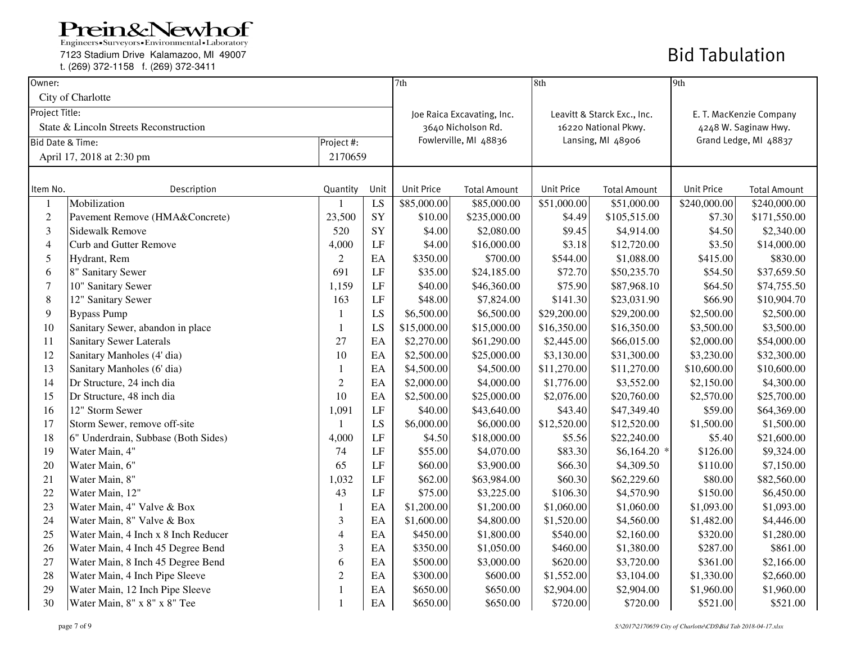7123 Stadium Drive Kalamazoo, MI 49007

t. (269) 372-1158 f. (269) 372-3411

| Owner:           |                                        |                |          | 7th               |                            | 8th               |                             | 9th                   |                         |
|------------------|----------------------------------------|----------------|----------|-------------------|----------------------------|-------------------|-----------------------------|-----------------------|-------------------------|
|                  | City of Charlotte                      |                |          |                   |                            |                   |                             |                       |                         |
| Project Title:   |                                        |                |          |                   | Joe Raica Excavating, Inc. |                   | Leavitt & Starck Exc., Inc. |                       | E. T. MacKenzie Company |
|                  | State & Lincoln Streets Reconstruction |                |          |                   | 3640 Nicholson Rd.         |                   | 16220 National Pkwy.        |                       | 4248 W. Saginaw Hwy.    |
| Bid Date & Time: |                                        | Project #:     |          |                   | Fowlerville, MI 48836      |                   | Lansing, MI 48906           | Grand Ledge, MI 48837 |                         |
|                  | April 17, 2018 at 2:30 pm              | 2170659        |          |                   |                            |                   |                             |                       |                         |
|                  |                                        |                |          |                   |                            |                   |                             |                       |                         |
| Item No.         | Description                            | Quantity       | Unit     | <b>Unit Price</b> | <b>Total Amount</b>        | <b>Unit Price</b> | <b>Total Amount</b>         | <b>Unit Price</b>     | <b>Total Amount</b>     |
| 1                | Mobilization                           |                | LS       | \$85,000.00       | \$85,000.00                | \$51,000.00       | \$51,000.00                 | \$240,000.00          | \$240,000.00            |
| $\mathfrak{2}$   | Pavement Remove (HMA&Concrete)         | 23,500         | SY       | \$10.00           | \$235,000.00               | \$4.49            | \$105,515.00                | \$7.30                | \$171,550.00            |
| $\mathfrak{Z}$   | Sidewalk Remove                        | 520            | SY       | \$4.00            | \$2,080.00                 | \$9.45            | \$4,914.00                  | \$4.50                | \$2,340.00              |
| $\overline{4}$   | <b>Curb and Gutter Remove</b>          | 4,000          | $\rm LF$ | \$4.00            | \$16,000.00                | \$3.18            | \$12,720.00                 | \$3.50                | \$14,000.00             |
| 5                | Hydrant, Rem                           | $\overline{2}$ | EA       | \$350.00          | \$700.00                   | \$544.00          | \$1,088.00                  | \$415.00              | \$830.00                |
| 6                | 8" Sanitary Sewer                      | 691            | $\rm LF$ | \$35.00           | \$24,185.00                | \$72.70           | \$50,235.70                 | \$54.50               | \$37,659.50             |
| $\overline{7}$   | 10" Sanitary Sewer                     | 1,159          | $\rm LF$ | \$40.00           | \$46,360.00                | \$75.90           | \$87,968.10                 | \$64.50               | \$74,755.50             |
| $\,$ 8 $\,$      | 12" Sanitary Sewer                     | 163            | LF       | \$48.00           | \$7,824.00                 | \$141.30          | \$23,031.90                 | \$66.90               | \$10,904.70             |
| 9                | <b>Bypass Pump</b>                     | 1              | LS       | \$6,500.00        | \$6,500.00                 | \$29,200.00       | \$29,200.00                 | \$2,500.00            | \$2,500.00              |
| 10               | Sanitary Sewer, abandon in place       | $\mathbf{1}$   | LS       | \$15,000.00       | \$15,000.00                | \$16,350.00       | \$16,350.00                 | \$3,500.00            | \$3,500.00              |
| 11               | <b>Sanitary Sewer Laterals</b>         | 27             | EA       | \$2,270.00        | \$61,290.00                | \$2,445.00        | \$66,015.00                 | \$2,000.00            | \$54,000.00             |
| 12               | Sanitary Manholes (4' dia)             | 10             | EA       | \$2,500.00        | \$25,000.00                | \$3,130.00        | \$31,300.00                 | \$3,230.00            | \$32,300.00             |
| 13               | Sanitary Manholes (6' dia)             | 1              | EA       | \$4,500.00        | \$4,500.00                 | \$11,270.00       | \$11,270.00                 | \$10,600.00           | \$10,600.00             |
| 14               | Dr Structure, 24 inch dia              | $\overline{2}$ | EA       | \$2,000.00        | \$4,000.00                 | \$1,776.00        | \$3,552.00                  | \$2,150.00            | \$4,300.00              |
| 15               | Dr Structure, 48 inch dia              | 10             | EA       | \$2,500.00        | \$25,000.00                | \$2,076.00        | \$20,760.00                 | \$2,570.00            | \$25,700.00             |
| 16               | 12" Storm Sewer                        | 1,091          | $\rm LF$ | \$40.00           | \$43,640.00                | \$43.40           | \$47,349.40                 | \$59.00               | \$64,369.00             |
| 17               | Storm Sewer, remove off-site           | $\mathbf{1}$   | LS       | \$6,000.00        | \$6,000.00                 | \$12,520.00       | \$12,520.00                 | \$1,500.00            | \$1,500.00              |
| 18               | 6" Underdrain, Subbase (Both Sides)    | 4,000          | $\rm LF$ | \$4.50            | \$18,000.00                | \$5.56            | \$22,240.00                 | \$5.40                | \$21,600.00             |
| 19               | Water Main, 4"                         | 74             | LF       | \$55.00           | \$4,070.00                 | \$83.30           | $$6,164.20$ *               | \$126.00              | \$9,324.00              |
| 20               | Water Main, 6"                         | 65             | $\rm LF$ | \$60.00           | \$3,900.00                 | \$66.30           | \$4,309.50                  | \$110.00              | \$7,150.00              |
| 21               | Water Main, 8"                         | 1,032          | $\rm LF$ | \$62.00           | \$63,984.00                | \$60.30           | \$62,229.60                 | \$80.00               | \$82,560.00             |
| 22               | Water Main, 12"                        | 43             | LF       | \$75.00           | \$3,225.00                 | \$106.30          | \$4,570.90                  | \$150.00              | \$6,450.00              |
| 23               | Water Main, 4" Valve & Box             | $\mathbf{1}$   | EA       | \$1,200.00        | \$1,200.00                 | \$1,060.00        | \$1,060.00                  | \$1,093.00            | \$1,093.00              |
| 24               | Water Main, 8" Valve & Box             | 3              | EA       | \$1,600.00        | \$4,800.00                 | \$1,520.00        | \$4,560.00                  | \$1,482.00            | \$4,446.00              |
| 25               | Water Main, 4 Inch x 8 Inch Reducer    | $\overline{4}$ | EA       | \$450.00          | \$1,800.00                 | \$540.00          | \$2,160.00                  | \$320.00              | \$1,280.00              |
| 26               | Water Main, 4 Inch 45 Degree Bend      | 3              | EA       | \$350.00          | \$1,050.00                 | \$460.00          | \$1,380.00                  | \$287.00              | \$861.00                |
| 27               | Water Main, 8 Inch 45 Degree Bend      | 6              | EA       | \$500.00          | \$3,000.00                 | \$620.00          | \$3,720.00                  | \$361.00              | \$2,166.00              |
| 28               | Water Main, 4 Inch Pipe Sleeve         | $\sqrt{2}$     | EA       | \$300.00          | \$600.00                   | \$1,552.00        | \$3,104.00                  | \$1,330.00            | \$2,660.00              |
| 29               | Water Main, 12 Inch Pipe Sleeve        | 1              | EA       | \$650.00          | \$650.00                   | \$2,904.00        | \$2,904.00                  | \$1,960.00            | \$1,960.00              |
| 30               | Water Main, 8" x 8" x 8" Tee           | $\mathbf{1}$   | EA       | \$650.00          | \$650.00                   | \$720.00          | \$720.00                    | \$521.00              | \$521.00                |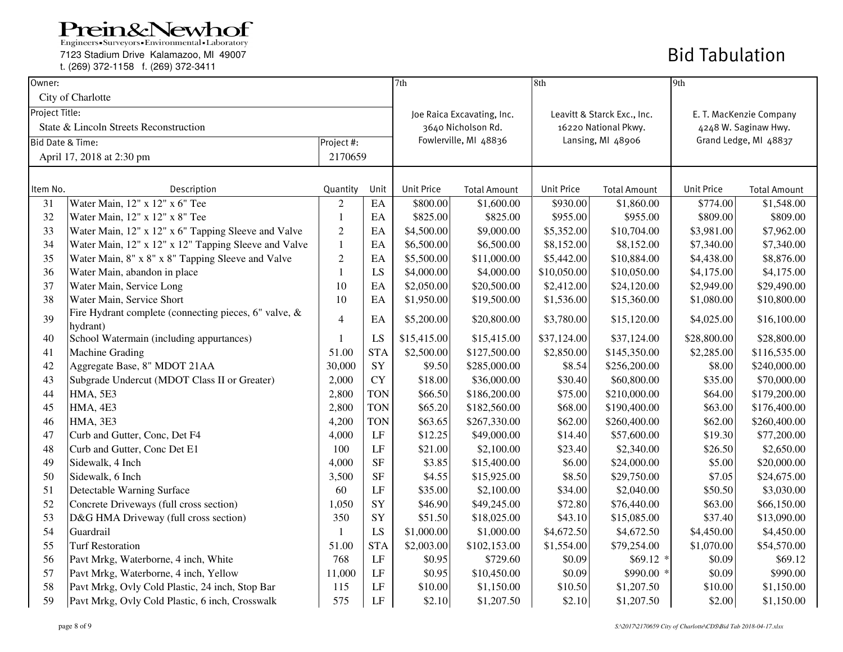7123 Stadium Drive Kalamazoo, MI 49007

t. (269) 372-1158 f. (269) 372-3411

| Owner:         |                                                                   |                |            | 7th                   |                            | 8th                  |                             | 9th                     |                     |
|----------------|-------------------------------------------------------------------|----------------|------------|-----------------------|----------------------------|----------------------|-----------------------------|-------------------------|---------------------|
|                | City of Charlotte                                                 |                |            |                       |                            |                      |                             |                         |                     |
| Project Title: |                                                                   |                |            |                       | Joe Raica Excavating, Inc. |                      | Leavitt & Starck Exc., Inc. | E. T. MacKenzie Company |                     |
|                | State & Lincoln Streets Reconstruction                            |                |            | 3640 Nicholson Rd.    |                            | 16220 National Pkwy. |                             | 4248 W. Saginaw Hwy.    |                     |
|                | <b>Bid Date &amp; Time:</b>                                       | Project #:     |            | Fowlerville, MI 48836 |                            | Lansing, MI 48906    |                             | Grand Ledge, MI 48837   |                     |
|                | April 17, 2018 at 2:30 pm                                         | 2170659        |            |                       |                            |                      |                             |                         |                     |
|                |                                                                   |                |            |                       |                            |                      |                             |                         |                     |
| Item No.       | Description                                                       | Quantity       | Unit       | <b>Unit Price</b>     | <b>Total Amount</b>        | <b>Unit Price</b>    | <b>Total Amount</b>         | <b>Unit Price</b>       | <b>Total Amount</b> |
| 31             | Water Main, 12" x 12" x 6" Tee                                    | $\overline{2}$ | EA         | \$800.00              | \$1,600.00                 | \$930.00             | \$1,860.00                  | \$774.00                | \$1,548.00          |
| 32             | Water Main, 12" x 12" x 8" Tee                                    | -1             | $\rm EA$   | \$825.00              | \$825.00                   | \$955.00             | \$955.00                    | \$809.00                | \$809.00            |
| 33             | Water Main, 12" x 12" x 6" Tapping Sleeve and Valve               | $\mathfrak{2}$ | EA         | \$4,500.00            | \$9,000.00                 | \$5,352.00           | \$10,704.00                 | \$3,981.00              | \$7,962.00          |
| 34             | Water Main, 12" x 12" x 12" Tapping Sleeve and Valve              | $\mathbf{1}$   | EA         | \$6,500.00            | \$6,500.00                 | \$8,152.00           | \$8,152.00                  | \$7,340.00              | \$7,340.00          |
| 35             | Water Main, 8" x 8" x 8" Tapping Sleeve and Valve                 | $\overline{2}$ | EA         | \$5,500.00            | \$11,000.00                | \$5,442.00           | \$10,884.00                 | \$4,438.00              | \$8,876.00          |
| 36             | Water Main, abandon in place                                      | -1             | LS         | \$4,000.00            | \$4,000.00                 | \$10,050.00          | \$10,050.00                 | \$4,175.00              | \$4,175.00          |
| 37             | Water Main, Service Long                                          | 10             | EA         | \$2,050.00            | \$20,500.00                | \$2,412.00           | \$24,120.00                 | \$2,949.00              | \$29,490.00         |
| 38             | Water Main, Service Short                                         | 10             | EA         | \$1,950.00            | \$19,500.00                | \$1,536.00           | \$15,360.00                 | \$1,080.00              | \$10,800.00         |
| 39             | Fire Hydrant complete (connecting pieces, 6" valve, &<br>hydrant) | $\overline{4}$ | EA         | \$5,200.00            | \$20,800.00                | \$3,780.00           | \$15,120.00                 | \$4,025.00              | \$16,100.00         |
| 40             | School Watermain (including appurtances)                          | -1             | LS         | \$15,415.00           | \$15,415.00                | \$37,124.00          | \$37,124.00                 | \$28,800.00             | \$28,800.00         |
| 41             | <b>Machine Grading</b>                                            | 51.00          | <b>STA</b> | \$2,500.00            | \$127,500.00               | \$2,850.00           | \$145,350.00                | \$2,285.00              | \$116,535.00        |
| 42             | Aggregate Base, 8" MDOT 21AA                                      | 30,000         | SY         | \$9.50                | \$285,000.00               | \$8.54               | \$256,200.00                | \$8.00                  | \$240,000.00        |
| 43             | Subgrade Undercut (MDOT Class II or Greater)                      | 2,000          | <b>CY</b>  | \$18.00               | \$36,000.00                | \$30.40              | \$60,800.00                 | \$35.00                 | \$70,000.00         |
| 44             | HMA, 5E3                                                          | 2,800          | <b>TON</b> | \$66.50               | \$186,200.00               | \$75.00              | \$210,000.00                | \$64.00                 | \$179,200.00        |
| 45             | HMA, 4E3                                                          | 2,800          | <b>TON</b> | \$65.20               | \$182,560.00               | \$68.00              | \$190,400.00                | \$63.00                 | \$176,400.00        |
| 46             | <b>HMA, 3E3</b>                                                   | 4,200          | <b>TON</b> | \$63.65               | \$267,330.00               | \$62.00              | \$260,400.00                | \$62.00                 | \$260,400.00        |
| 47             | Curb and Gutter, Conc, Det F4                                     | 4,000          | LF         | \$12.25               | \$49,000.00                | \$14.40              | \$57,600.00                 | \$19.30                 | \$77,200.00         |
| 48             | Curb and Gutter, Conc Det E1                                      | 100            | LF         | \$21.00               | \$2,100.00                 | \$23.40              | \$2,340.00                  | \$26.50                 | \$2,650.00          |
| 49             | Sidewalk, 4 Inch                                                  | 4,000          | <b>SF</b>  | \$3.85                | \$15,400.00                | \$6.00               | \$24,000.00                 | \$5.00                  | \$20,000.00         |
| 50             | Sidewalk, 6 Inch                                                  | 3,500          | <b>SF</b>  | \$4.55                | \$15,925.00                | \$8.50               | \$29,750.00                 | \$7.05                  | \$24,675.00         |
| 51             | Detectable Warning Surface                                        | 60             | LF         | \$35.00               | \$2,100.00                 | \$34.00              | \$2,040.00                  | \$50.50                 | \$3,030.00          |
| 52             | Concrete Driveways (full cross section)                           | 1,050          | SY         | \$46.90               | \$49,245.00                | \$72.80              | \$76,440.00                 | \$63.00                 | \$66,150.00         |
| 53             | D&G HMA Driveway (full cross section)                             | 350            | SY         | \$51.50               | \$18,025.00                | \$43.10              | \$15,085.00                 | \$37.40                 | \$13,090.00         |
| 54             | Guardrail                                                         | -1             | LS         | \$1,000.00            | \$1,000.00                 | \$4,672.50           | \$4,672.50                  | \$4,450.00              | \$4,450.00          |
| 55             | <b>Turf Restoration</b>                                           | 51.00          | <b>STA</b> | \$2,003.00            | \$102,153.00               | \$1,554.00           | \$79,254.00                 | \$1,070.00              | \$54,570.00         |
| 56             | Pavt Mrkg, Waterborne, 4 inch, White                              | 768            | LF         | \$0.95                | \$729.60                   | \$0.09               | $$69.12$ *                  | \$0.09                  | \$69.12             |
| 57             | Pavt Mrkg, Waterborne, 4 inch, Yellow                             | 11,000         | LF         | \$0.95                | \$10,450.00                | \$0.09               | \$990.00 *                  | \$0.09                  | \$990.00            |
| 58             | Pavt Mrkg, Ovly Cold Plastic, 24 inch, Stop Bar                   | 115            | LF         | \$10.00               | \$1,150.00                 | \$10.50              | \$1,207.50                  | \$10.00                 | \$1,150.00          |
| 59             | Pavt Mrkg, Ovly Cold Plastic, 6 inch, Crosswalk                   | 575            | LF         | \$2.10                | \$1,207.50                 | \$2.10               | \$1,207.50                  | \$2.00                  | \$1,150.00          |